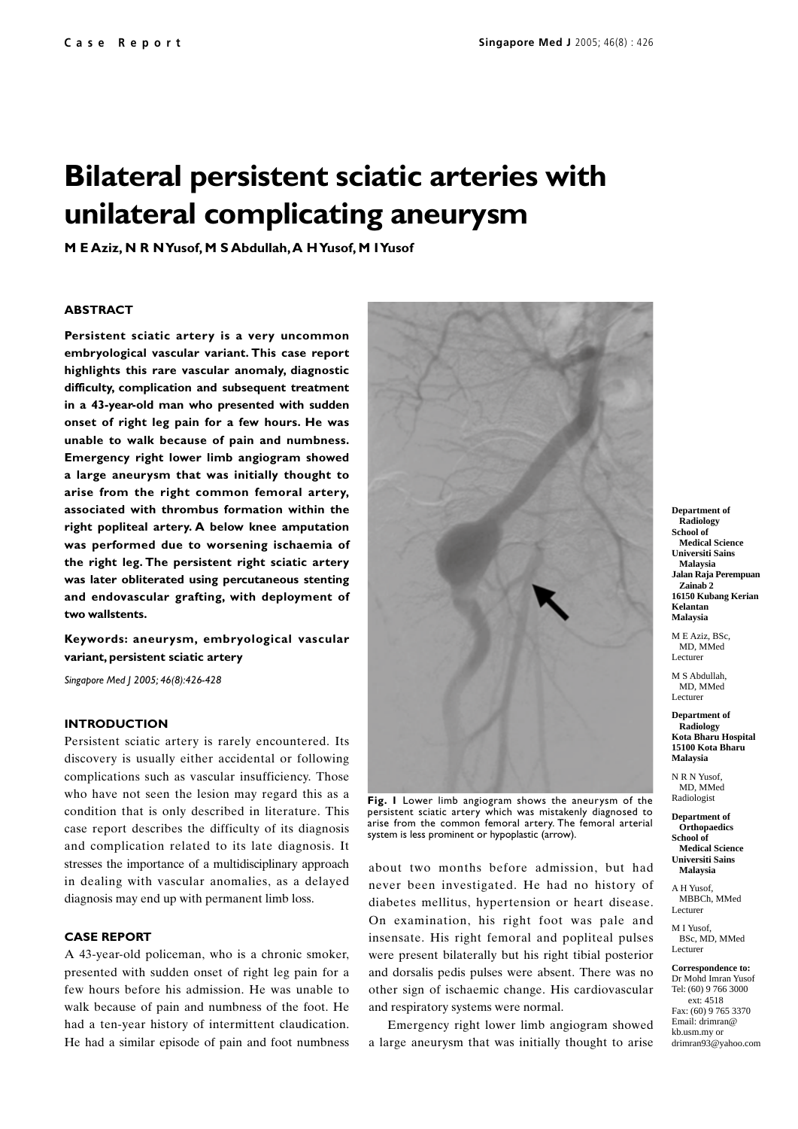# **Bilateral persistent sciatic arteries with unilateral complicating aneurysm**

**M E Aziz, N R N Yusof, M S Abdullah, A H Yusof, M I Yusof**

#### **ABSTRACT**

**Persistent sciatic artery is a very uncommon embryological vascular variant. This case report highlights this rare vascular anomaly, diagnostic difficulty, complication and subsequent treatment in a 43-year-old man who presented with sudden onset of right leg pain for a few hours. He was unable to walk because of pain and numbness. Emergency right lower limb angiogram showed a large aneurysm that was initially thought to arise from the right common femoral artery, associated with thrombus formation within the right popliteal artery. A below knee amputation was performed due to worsening ischaemia of the right leg. The persistent right sciatic artery was later obliterated using percutaneous stenting and endovascular grafting, with deployment of two wallstents.**

**Keywords: aneurysm, embryological vascular variant, persistent sciatic artery**

*Singapore Med J 2005; 46(8):426-428*

#### **INTRODUCTION**

Persistent sciatic artery is rarely encountered. Its discovery is usually either accidental or following complications such as vascular insufficiency. Those who have not seen the lesion may regard this as a condition that is only described in literature. This case report describes the difficulty of its diagnosis and complication related to its late diagnosis. It stresses the importance of a multidisciplinary approach in dealing with vascular anomalies, as a delayed diagnosis may end up with permanent limb loss.

### **CASE REPORT**

A 43-year-old policeman, who is a chronic smoker, presented with sudden onset of right leg pain for a few hours before his admission. He was unable to walk because of pain and numbness of the foot. He had a ten-year history of intermittent claudication. He had a similar episode of pain and foot numbness



**Fig. 1** Lower limb angiogram shows the aneurysm of the persistent sciatic artery which was mistakenly diagnosed to arise from the common femoral artery. The femoral arterial system is less prominent or hypoplastic (arrow).

about two months before admission, but had never been investigated. He had no history of diabetes mellitus, hypertension or heart disease. On examination, his right foot was pale and insensate. His right femoral and popliteal pulses were present bilaterally but his right tibial posterior and dorsalis pedis pulses were absent. There was no other sign of ischaemic change. His cardiovascular and respiratory systems were normal.

Emergency right lower limb angiogram showed a large aneurysm that was initially thought to arise

**Department of Radiology School of Medical Science Universiti Sains Malaysia Jalan Raja Perempuan Zainab 2 16150 Kubang Kerian Kelantan Malaysia**

M E Aziz, BSc, MD, MMed Lecturer

M S Abdullah, MD, MMed Lecturer

**Department of Radiology Kota Bharu Hospital 15100 Kota Bharu Malaysia**

N R N Yusof MD, MMed Radiologist

**Department of Orthopaedics School of Medical Science Universiti Sains**

**Malaysia** A H Yusof,

MBBCh, MMed Lecturer

M I Yusof BSc, MD, MMed Lecturer

**Correspondence to:** Dr Mohd Imran Yusof Tel: (60) 9 766 3000 ext: 4518 Fax: (60) 9 765 3370 Email: drimran@ kb.usm.my or drimran93@yahoo.com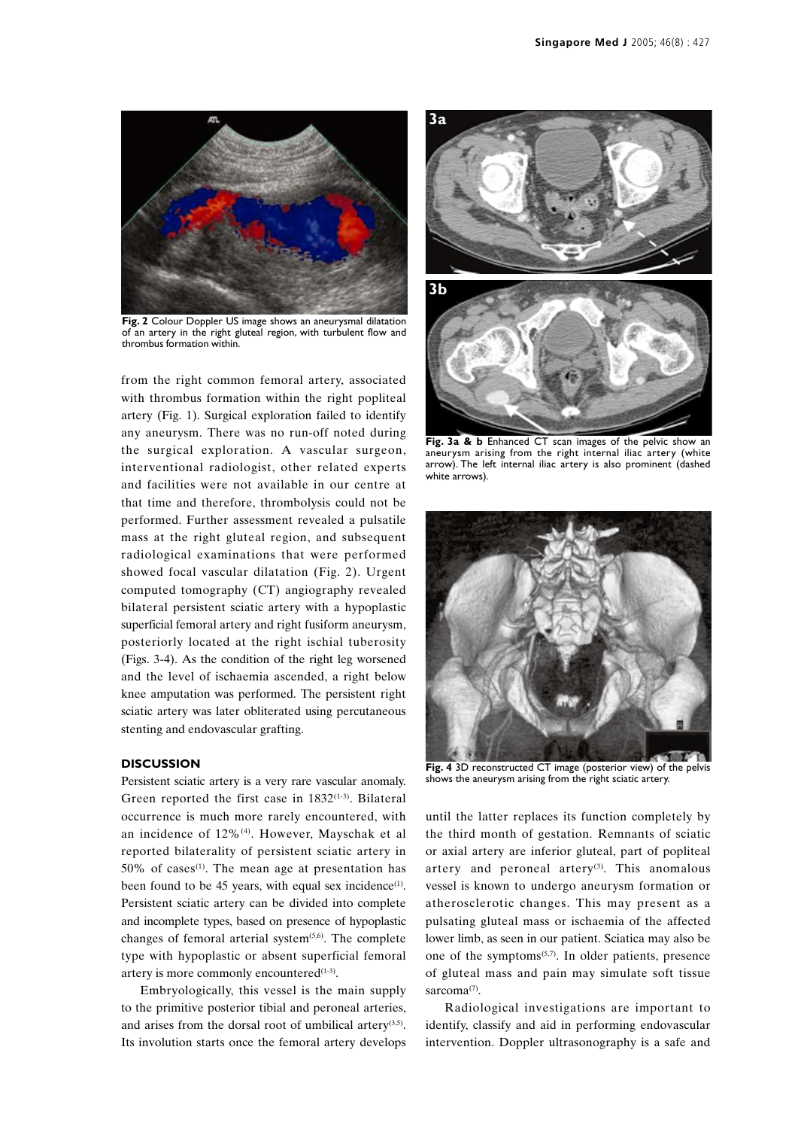

**Fig. 2** Colour Doppler US image shows an aneurysmal dilatation of an artery in the right gluteal region, with turbulent flow and thrombus formation within.

from the right common femoral artery, associated with thrombus formation within the right popliteal artery (Fig. 1). Surgical exploration failed to identify any aneurysm. There was no run-off noted during the surgical exploration. A vascular surgeon, interventional radiologist, other related experts and facilities were not available in our centre at that time and therefore, thrombolysis could not be performed. Further assessment revealed a pulsatile mass at the right gluteal region, and subsequent radiological examinations that were performed showed focal vascular dilatation (Fig. 2). Urgent computed tomography (CT) angiography revealed bilateral persistent sciatic artery with a hypoplastic superficial femoral artery and right fusiform aneurysm, posteriorly located at the right ischial tuberosity (Figs. 3-4). As the condition of the right leg worsened and the level of ischaemia ascended, a right below knee amputation was performed. The persistent right sciatic artery was later obliterated using percutaneous stenting and endovascular grafting.

# **DISCUSSION**

Persistent sciatic artery is a very rare vascular anomaly. Green reported the first case in 1832<sup>(1-3)</sup>. Bilateral occurrence is much more rarely encountered, with an incidence of 12%(4). However, Mayschak et al reported bilaterality of persistent sciatic artery in 50% of cases<sup> $(1)$ </sup>. The mean age at presentation has been found to be 45 years, with equal sex incidence<sup>(1)</sup>. Persistent sciatic artery can be divided into complete and incomplete types, based on presence of hypoplastic changes of femoral arterial system $(5,6)$ . The complete type with hypoplastic or absent superficial femoral artery is more commonly encountered $(1-3)$ .

Embryologically, this vessel is the main supply to the primitive posterior tibial and peroneal arteries, and arises from the dorsal root of umbilical artery $(3,5)$ . Its involution starts once the femoral artery develops



**Fig. 3a & b** Enhanced CT scan images of the pelvic show an aneurysm arising from the right internal iliac artery (white arrow). The left internal iliac artery is also prominent (dashed white arrows).



**Fig. 4** 3D reconstructed CT image (posterior view) of the pelvis shows the aneurysm arising from the right sciatic artery.

until the latter replaces its function completely by the third month of gestation. Remnants of sciatic or axial artery are inferior gluteal, part of popliteal artery and peroneal artery<sup>(3)</sup>. This anomalous vessel is known to undergo aneurysm formation or atherosclerotic changes. This may present as a pulsating gluteal mass or ischaemia of the affected lower limb, as seen in our patient. Sciatica may also be one of the symptoms $(5,7)$ . In older patients, presence of gluteal mass and pain may simulate soft tissue sarcoma<sup>(7)</sup>.

Radiological investigations are important to identify, classify and aid in performing endovascular intervention. Doppler ultrasonography is a safe and